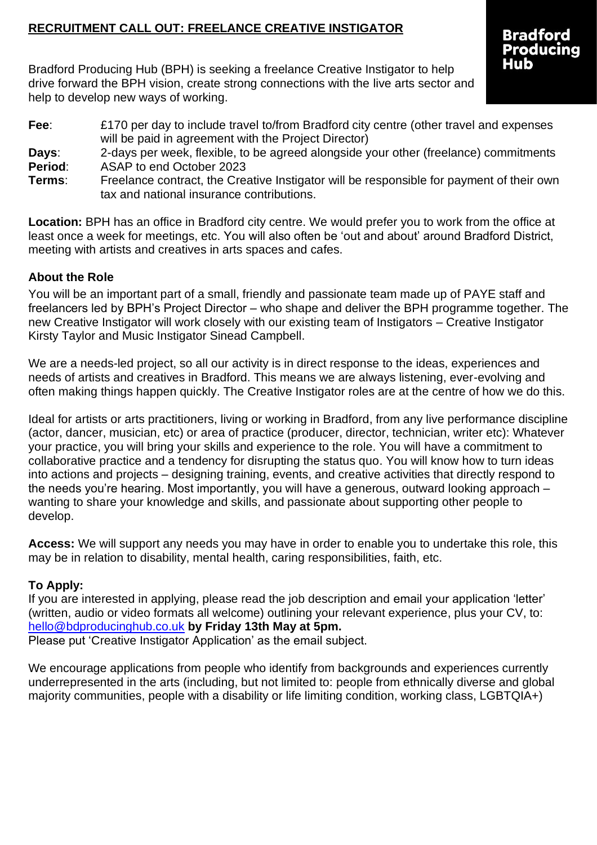### **RECRUITMENT CALL OUT: FREELANCE CREATIVE INSTIGATOR**

Bradford Producing Hub (BPH) is seeking a freelance Creative Instigator to help drive forward the BPH vision, create strong connections with the live arts sector and help to develop new ways of working.

**Fee:** £170 per day to include travel to/from Bradford city centre (other travel and expenses will be paid in agreement with the Project Director) **Days**: 2-days per week, flexible, to be agreed alongside your other (freelance) commitments **Period**: ASAP to end October 2023 **Terms**: Freelance contract, the Creative Instigator will be responsible for payment of their own tax and national insurance contributions.

**Location:** BPH has an office in Bradford city centre. We would prefer you to work from the office at least once a week for meetings, etc. You will also often be 'out and about' around Bradford District, meeting with artists and creatives in arts spaces and cafes.

### **About the Role**

You will be an important part of a small, friendly and passionate team made up of PAYE staff and freelancers led by BPH's Project Director – who shape and deliver the BPH programme together. The new Creative Instigator will work closely with our existing team of Instigators – Creative Instigator Kirsty Taylor and Music Instigator Sinead Campbell.

We are a needs-led project, so all our activity is in direct response to the ideas, experiences and needs of artists and creatives in Bradford. This means we are always listening, ever-evolving and often making things happen quickly. The Creative Instigator roles are at the centre of how we do this.

Ideal for artists or arts practitioners, living or working in Bradford, from any live performance discipline (actor, dancer, musician, etc) or area of practice (producer, director, technician, writer etc): Whatever your practice, you will bring your skills and experience to the role. You will have a commitment to collaborative practice and a tendency for disrupting the status quo. You will know how to turn ideas into actions and projects – designing training, events, and creative activities that directly respond to the needs you're hearing. Most importantly, you will have a generous, outward looking approach – wanting to share your knowledge and skills, and passionate about supporting other people to develop.

**Access:** We will support any needs you may have in order to enable you to undertake this role, this may be in relation to disability, mental health, caring responsibilities, faith, etc.

#### **To Apply:**

If you are interested in applying, please read the job description and email your application 'letter' (written, audio or video formats all welcome) outlining your relevant experience, plus your CV, to: [hello@bdproducinghub.co.uk](mailto:hello@bdproducinghub.co.uk) **by Friday 13th May at 5pm.**

Please put 'Creative Instigator Application' as the email subject.

We encourage applications from people who identify from backgrounds and experiences currently underrepresented in the arts (including, but not limited to: people from ethnically diverse and global majority communities, people with a disability or life limiting condition, working class, LGBTQIA+)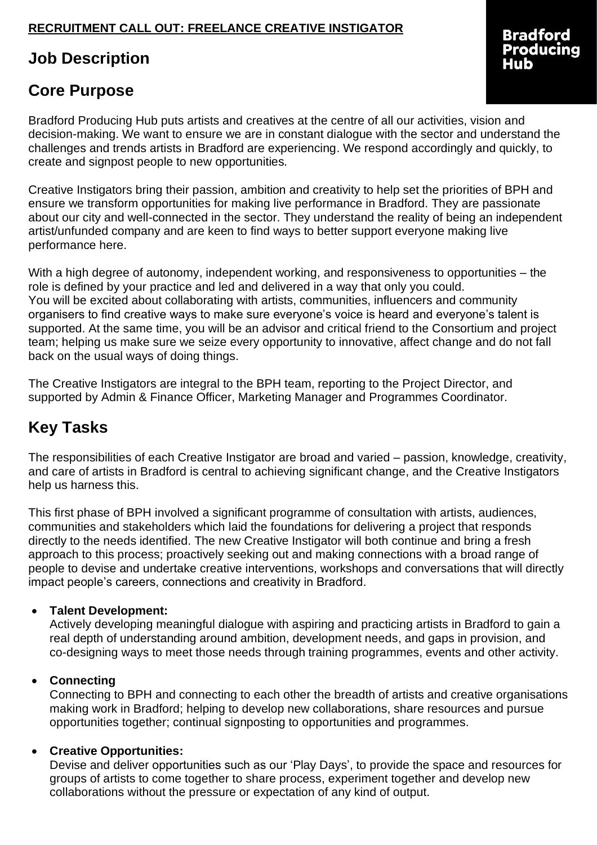## **RECRUITMENT CALL OUT: FREELANCE CREATIVE INSTIGATOR**

# **Job Description**

## **Core Purpose**

Bradford Producing Hub puts artists and creatives at the centre of all our activities, vision and decision-making. We want to ensure we are in constant dialogue with the sector and understand the challenges and trends artists in Bradford are experiencing. We respond accordingly and quickly, to create and signpost people to new opportunities.

Creative Instigators bring their passion, ambition and creativity to help set the priorities of BPH and ensure we transform opportunities for making live performance in Bradford. They are passionate about our city and well-connected in the sector. They understand the reality of being an independent artist/unfunded company and are keen to find ways to better support everyone making live performance here.

With a high degree of autonomy, independent working, and responsiveness to opportunities – the role is defined by your practice and led and delivered in a way that only you could. You will be excited about collaborating with artists, communities, influencers and community organisers to find creative ways to make sure everyone's voice is heard and everyone's talent is supported. At the same time, you will be an advisor and critical friend to the Consortium and project team; helping us make sure we seize every opportunity to innovative, affect change and do not fall back on the usual ways of doing things.

The Creative Instigators are integral to the BPH team, reporting to the Project Director, and supported by Admin & Finance Officer, Marketing Manager and Programmes Coordinator.

# **Key Tasks**

The responsibilities of each Creative Instigator are broad and varied – passion, knowledge, creativity, and care of artists in Bradford is central to achieving significant change, and the Creative Instigators help us harness this.

This first phase of BPH involved a significant programme of consultation with artists, audiences, communities and stakeholders which laid the foundations for delivering a project that responds directly to the needs identified. The new Creative Instigator will both continue and bring a fresh approach to this process; proactively seeking out and making connections with a broad range of people to devise and undertake creative interventions, workshops and conversations that will directly impact people's careers, connections and creativity in Bradford.

#### • **Talent Development:**

Actively developing meaningful dialogue with aspiring and practicing artists in Bradford to gain a real depth of understanding around ambition, development needs, and gaps in provision, and co-designing ways to meet those needs through training programmes, events and other activity.

#### • **Connecting**

Connecting to BPH and connecting to each other the breadth of artists and creative organisations making work in Bradford; helping to develop new collaborations, share resources and pursue opportunities together; continual signposting to opportunities and programmes.

#### • **Creative Opportunities:**

Devise and deliver opportunities such as our 'Play Days', to provide the space and resources for groups of artists to come together to share process, experiment together and develop new collaborations without the pressure or expectation of any kind of output.